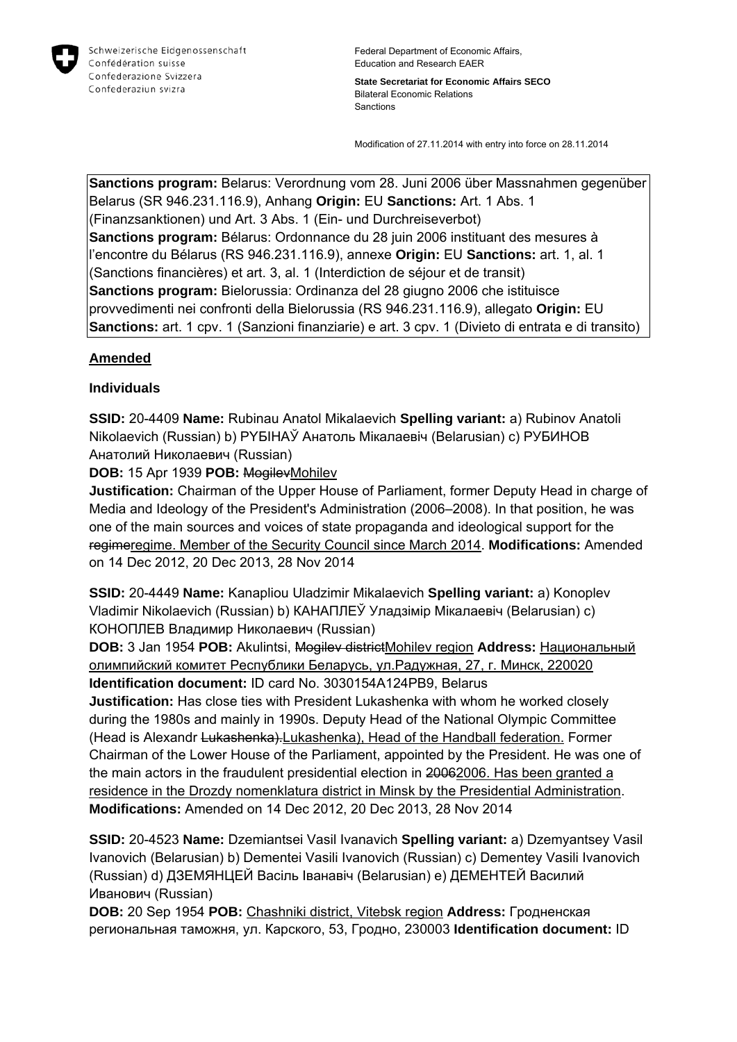

**State Secretariat for Economic Affairs SECO** Bilateral Economic Relations Sanctions

Modification of 27.11.2014 with entry into force on 28.11.2014

**Sanctions program:** Belarus: Verordnung vom 28. Juni 2006 über Massnahmen gegenüber Belarus (SR 946.231.116.9), Anhang **Origin:** EU **Sanctions:** Art. 1 Abs. 1 (Finanzsanktionen) und Art. 3 Abs. 1 (Ein- und Durchreiseverbot) **Sanctions program:** Bélarus: Ordonnance du 28 juin 2006 instituant des mesures à l'encontre du Bélarus (RS 946.231.116.9), annexe **Origin:** EU **Sanctions:** art. 1, al. 1 (Sanctions financières) et art. 3, al. 1 (Interdiction de séjour et de transit) **Sanctions program:** Bielorussia: Ordinanza del 28 giugno 2006 che istituisce provvedimenti nei confronti della Bielorussia (RS 946.231.116.9), allegato **Origin:** EU **Sanctions:** art. 1 cpv. 1 (Sanzioni finanziarie) e art. 3 cpv. 1 (Divieto di entrata e di transito)

## **Amended**

## **Individuals**

**SSID:** 20-4409 **Name:** Rubinau Anatol Mikalaevich **Spelling variant:** a) Rubinov Anatoli Nikolaevich (Russian) b) PYБIНAЎ Анатоль Мікалаевіч (Belarusian) c) РУБИНОВ Анатолий Николаевич (Russian)

**DOB:** 15 Apr 1939 **POB:** MogilevMohilev

**Justification:** Chairman of the Upper House of Parliament, former Deputy Head in charge of Media and Ideology of the President's Administration (2006–2008). In that position, he was one of the main sources and voices of state propaganda and ideological support for the regimeregime. Member of the Security Council since March 2014. **Modifications:** Amended on 14 Dec 2012, 20 Dec 2013, 28 Nov 2014

**SSID:** 20-4449 **Name:** Kanapliou Uladzimir Mikalaevich **Spelling variant:** a) Konoplev Vladimir Nikolaevich (Russian) b) КАНАПЛЕЎ Уладзімір Мікалаевіч (Belarusian) c) КОНОПЛЕВ Владимир Николаевич (Russian)

**DOB:** 3 Jan 1954 **POB:** Akulintsi, Mogilev districtMohilev region **Address:** Национальный олимпийский комитет Республики Беларусь, ул.Радужная, 27, г. Минск, 220020 **Identification document:** ID card No. 3030154A124PB9, Belarus

**Justification:** Has close ties with President Lukashenka with whom he worked closely during the 1980s and mainly in 1990s. Deputy Head of the National Olympic Committee (Head is Alexandr Lukashenka). Lukashenka), Head of the Handball federation. Former Chairman of the Lower House of the Parliament, appointed by the President. He was one of the main actors in the fraudulent presidential election in 20062006. Has been granted a residence in the Drozdy nomenklatura district in Minsk by the Presidential Administration. **Modifications:** Amended on 14 Dec 2012, 20 Dec 2013, 28 Nov 2014

**SSID:** 20-4523 **Name:** Dzemiantsei Vasil Ivanavich **Spelling variant:** a) Dzemyantsey Vasil Ivanovich (Belarusian) b) Dementei Vasili Ivanovich (Russian) c) Dementey Vasili Ivanovich (Russian) d) ДЗЕМЯНЦЕЙ Васіль Iванавіч (Belarusian) e) ДЕМЕНТЕЙ Василий Иванович (Russian)

**DOB:** 20 Sep 1954 **POB:** Chashniki district, Vitebsk region **Address:** Гродненская региональная таможня, ул. Карского, 53, Гродно, 230003 **Identification document:** ID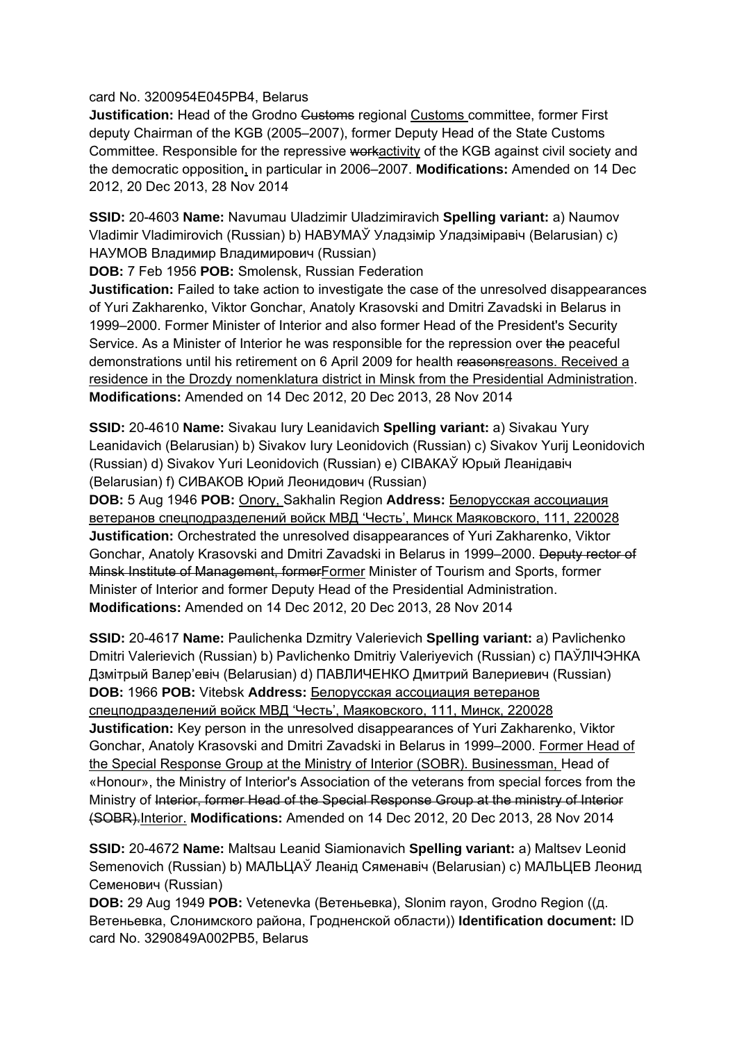card No. 3200954E045PB4, Belarus

**Justification:** Head of the Grodno Customs regional Customs committee, former First deputy Chairman of the KGB (2005–2007), former Deputy Head of the State Customs Committee. Responsible for the repressive workactivity of the KGB against civil society and the democratic opposition, in particular in 2006–2007. **Modifications:** Amended on 14 Dec 2012, 20 Dec 2013, 28 Nov 2014

**SSID:** 20-4603 **Name:** Navumau Uladzimir Uladzimiravich **Spelling variant:** a) Naumov Vladimir Vladimirovich (Russian) b) НАВУМАЎ Уладзімір Уладзіміравіч (Belarusian) c) НАУМОВ Владимир Владимирович (Russian)

**DOB:** 7 Feb 1956 **POB:** Smolensk, Russian Federation

**Justification:** Failed to take action to investigate the case of the unresolved disappearances of Yuri Zakharenko, Viktor Gonchar, Anatoly Krasovski and Dmitri Zavadski in Belarus in 1999–2000. Former Minister of Interior and also former Head of the President's Security Service. As a Minister of Interior he was responsible for the repression over the peaceful demonstrations until his retirement on 6 April 2009 for health reasonsreasons. Received a residence in the Drozdy nomenklatura district in Minsk from the Presidential Administration. **Modifications:** Amended on 14 Dec 2012, 20 Dec 2013, 28 Nov 2014

**SSID:** 20-4610 **Name:** Sivakau Iury Leanidavich **Spelling variant:** a) Sivakau Yury Leanidavich (Belarusian) b) Sivakov Iury Leonidovich (Russian) c) Sivakov Yurij Leonidovich (Russian) d) Sivakov Yuri Leonidovich (Russian) e) СIВАКАЎ Юрый Леанiдавiч (Belarusian) f) СИВАКОВ Юрий Леонидович (Russian)

**DOB:** 5 Aug 1946 **POB:** Onory, Sakhalin Region **Address:** Белорусская ассоциация ветеранов спецподразделений войск МВД 'Честь', Минск Маяковского, 111, 220028 **Justification:** Orchestrated the unresolved disappearances of Yuri Zakharenko, Viktor Gonchar, Anatoly Krasovski and Dmitri Zavadski in Belarus in 1999–2000. Deputy rector of Minsk Institute of Management, formerFormer Minister of Tourism and Sports, former Minister of Interior and former Deputy Head of the Presidential Administration. **Modifications:** Amended on 14 Dec 2012, 20 Dec 2013, 28 Nov 2014

**SSID:** 20-4617 **Name:** Paulichenka Dzmitry Valerievich **Spelling variant:** a) Pavlichenko Dmitri Valerievich (Russian) b) Pavlichenko Dmitriy Valeriyevich (Russian) c) ПАЎЛIЧЭНКА Дзмiтрый Валер'евіч (Belarusian) d) ПАВЛИЧЕНКО Дмитрий Валериевич (Russian) **DOB:** 1966 **POB:** Vitebsk **Address:** Белорусская ассоциация ветеранов спецподразделений войск МВД 'Честь', Маяковского, 111, Минск, 220028 **Justification:** Key person in the unresolved disappearances of Yuri Zakharenko, Viktor Gonchar, Anatoly Krasovski and Dmitri Zavadski in Belarus in 1999–2000. Former Head of the Special Response Group at the Ministry of Interior (SOBR). Businessman, Head of «Honour», the Ministry of Interior's Association of the veterans from special forces from the Ministry of Interior, former Head of the Special Response Group at the ministry of Interior (SOBR).Interior. **Modifications:** Amended on 14 Dec 2012, 20 Dec 2013, 28 Nov 2014

**SSID:** 20-4672 **Name:** Maltsau Leanid Siamionavich **Spelling variant:** a) Maltsev Leonid Semenovich (Russian) b) МАЛЬЦАЎ Леанід Сяменавiч (Belarusian) c) МАЛЬЦЕВ Леонид Семенович (Russian)

**DOB:** 29 Aug 1949 **POB:** Vetenevka (Ветеньевка), Slonim rayon, Grodno Region ((д. Ветеньевка, Слонимского района, Гродненской области)) **Identification document:** ID card No. 3290849A002PB5, Belarus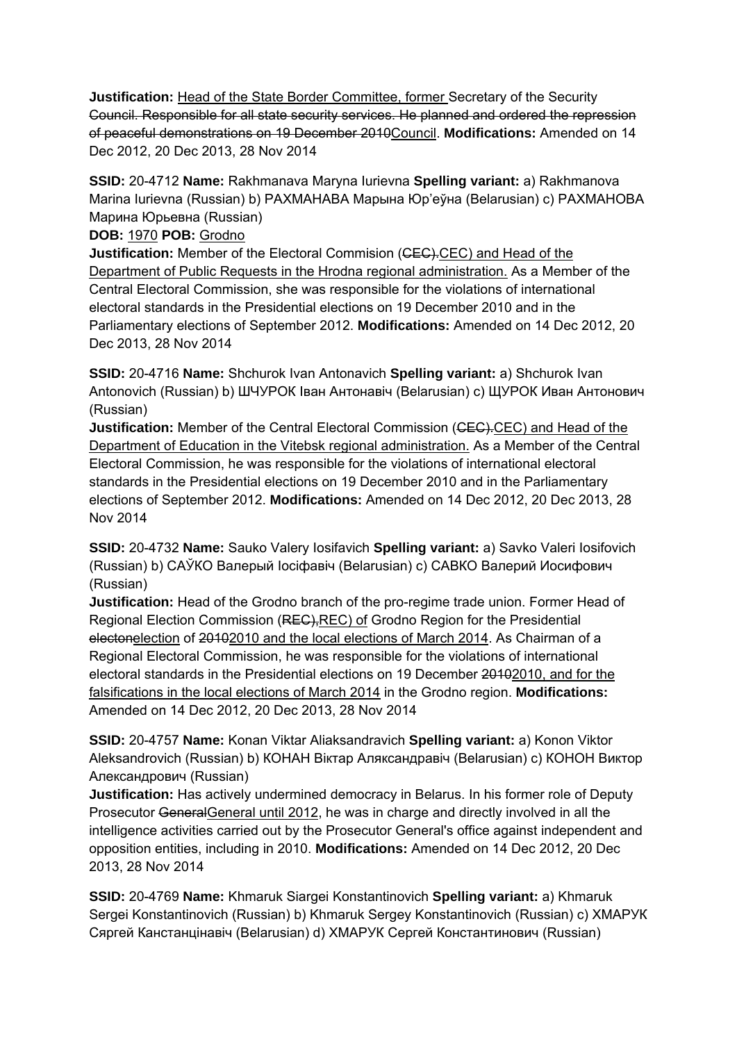**Justification:** Head of the State Border Committee, former Secretary of the Security Council. Responsible for all state security services. He planned and ordered the repression of peaceful demonstrations on 19 December 2010Council. **Modifications:** Amended on 14 Dec 2012, 20 Dec 2013, 28 Nov 2014

**SSID:** 20-4712 **Name:** Rakhmanava Maryna Iurievna **Spelling variant:** a) Rakhmanova Marina Iurievna (Russian) b) РАХМАНАВА Марына Юр'еўна (Belarusian) c) РАХМАНОВА Марина Юрьевна (Russian)

**DOB:** 1970 **POB:** Grodno

**Justification:** Member of the Electoral Commision (CEC).CEC) and Head of the Department of Public Requests in the Hrodna regional administration. As a Member of the Central Electoral Commission, she was responsible for the violations of international electoral standards in the Presidential elections on 19 December 2010 and in the Parliamentary elections of September 2012. **Modifications:** Amended on 14 Dec 2012, 20 Dec 2013, 28 Nov 2014

**SSID:** 20-4716 **Name:** Shchurok Ivan Antonavich **Spelling variant:** a) Shchurok Ivan Antonovich (Russian) b) ШЧУРОК Іван Антонавіч (Belarusian) c) ЩУРОК Иван Антонович (Russian)

**Justification:** Member of the Central Electoral Commission (CEC).CEC) and Head of the Department of Education in the Vitebsk regional administration. As a Member of the Central Electoral Commission, he was responsible for the violations of international electoral standards in the Presidential elections on 19 December 2010 and in the Parliamentary elections of September 2012. **Modifications:** Amended on 14 Dec 2012, 20 Dec 2013, 28 Nov 2014

**SSID:** 20-4732 **Name:** Sauko Valery Iosifavich **Spelling variant:** a) Savko Valeri Iosifovich (Russian) b) САЎКО Валерый Іосіфавіч (Belarusian) c) САВКО Валерий Иосифович (Russian)

**Justification:** Head of the Grodno branch of the pro-regime trade union. Former Head of Regional Election Commission (REC),REC) of Grodno Region for the Presidential electonelection of 20102010 and the local elections of March 2014. As Chairman of a Regional Electoral Commission, he was responsible for the violations of international electoral standards in the Presidential elections on 19 December 20102010, and for the falsifications in the local elections of March 2014 in the Grodno region. **Modifications:**  Amended on 14 Dec 2012, 20 Dec 2013, 28 Nov 2014

**SSID:** 20-4757 **Name:** Konan Viktar Aliaksandravich **Spelling variant:** a) Konon Viktor Aleksandrovich (Russian) b) КОНАН Віктар Аляксандравіч (Belarusian) c) КОНОН Виктор Александрович (Russian)

**Justification:** Has actively undermined democracy in Belarus. In his former role of Deputy Prosecutor GeneralGeneral until 2012, he was in charge and directly involved in all the intelligence activities carried out by the Prosecutor General's office against independent and opposition entities, including in 2010. **Modifications:** Amended on 14 Dec 2012, 20 Dec 2013, 28 Nov 2014

**SSID:** 20-4769 **Name:** Khmaruk Siargei Konstantinovich **Spelling variant:** a) Khmaruk Sergei Konstantinovich (Russian) b) Khmaruk Sergey Konstantinovich (Russian) c) ХМАРУК Сяргей Канстанцінавіч (Belarusian) d) ХМАРУК Сергей Константинович (Russian)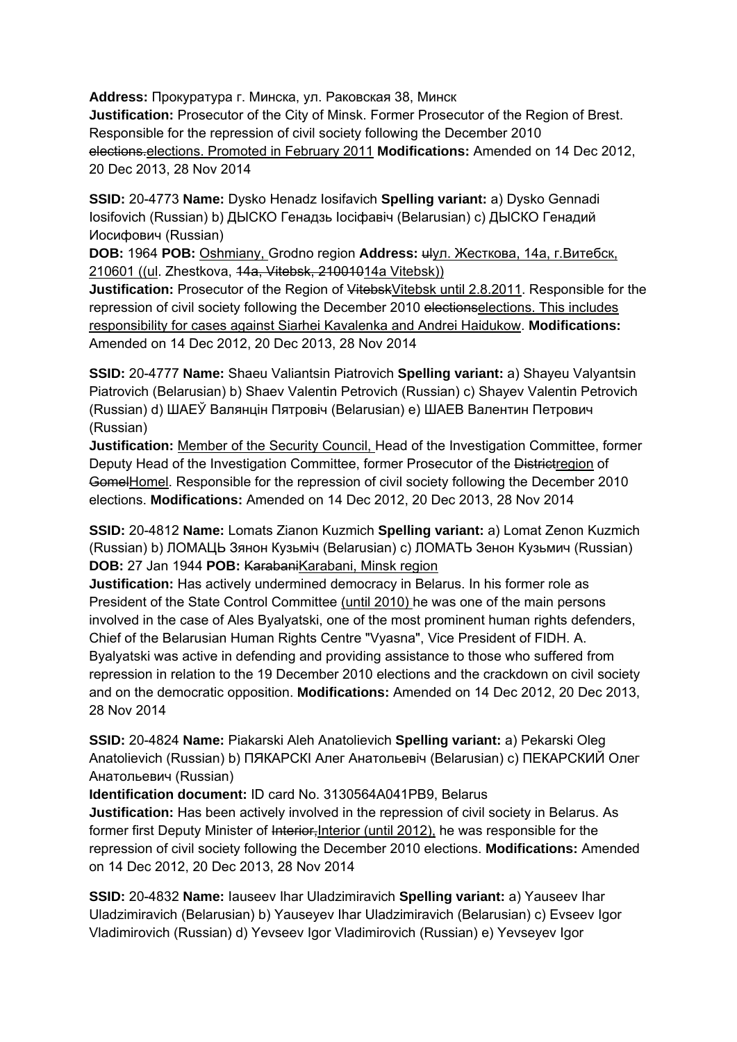**Address:** Прокуратура г. Минска, ул. Раковская 38, Минск **Justification:** Prosecutor of the City of Minsk. Former Prosecutor of the Region of Brest. Responsible for the repression of civil society following the December 2010 elections.elections. Promoted in February 2011 **Modifications:** Amended on 14 Dec 2012, 20 Dec 2013, 28 Nov 2014

**SSID:** 20-4773 **Name:** Dysko Henadz Iosifavich **Spelling variant:** a) Dysko Gennadi Iosifovich (Russian) b) ДЫСКО Генадзь Іосіфавіч (Belarusian) c) ДЫСКО Генадий Иосифович (Russian)

**DOB:** 1964 **POB:** Oshmiany, Grodno region **Address:** ulул. Жесткова, 14а, г.Витебск, 210601 ((ul. Zhestkova, 14a, Vitebsk, 21001014a Vitebsk))

**Justification:** Prosecutor of the Region of VitebskVitebsk until 2.8.2011. Responsible for the repression of civil society following the December 2010 electionselections. This includes responsibility for cases against Siarhei Kavalenka and Andrei Haidukow. **Modifications:**  Amended on 14 Dec 2012, 20 Dec 2013, 28 Nov 2014

**SSID:** 20-4777 **Name:** Shaeu Valiantsin Piatrovich **Spelling variant:** a) Shayeu Valyantsin Piatrovich (Belarusian) b) Shaev Valentin Petrovich (Russian) c) Shayev Valentin Petrovich (Russian) d) ШАЕЎ Валянцін Пятровіч (Belarusian) e) ШАЕВ Валентин Петрович (Russian)

**Justification:** Member of the Security Council, Head of the Investigation Committee, former Deputy Head of the Investigation Committee, former Prosecutor of the Districtregion of GomelHomel. Responsible for the repression of civil society following the December 2010 elections. **Modifications:** Amended on 14 Dec 2012, 20 Dec 2013, 28 Nov 2014

**SSID:** 20-4812 **Name:** Lomats Zianon Kuzmich **Spelling variant:** a) Lomat Zenon Kuzmich (Russian) b) ЛОМАЦЬ Зянон Кузьміч (Belarusian) c) ЛОМАТЬ Зенон Кузьмич (Russian) **DOB: 27 Jan 1944 <b>POB:** KarabaniKarabani, Minsk region

**Justification:** Has actively undermined democracy in Belarus. In his former role as President of the State Control Committee (until 2010) he was one of the main persons involved in the case of Ales Byalyatski, one of the most prominent human rights defenders, Chief of the Belarusian Human Rights Centre "Vyasna", Vice President of FIDH. A. Byalyatski was active in defending and providing assistance to those who suffered from repression in relation to the 19 December 2010 elections and the crackdown on civil society and on the democratic opposition. **Modifications:** Amended on 14 Dec 2012, 20 Dec 2013, 28 Nov 2014

**SSID:** 20-4824 **Name:** Piakarski Aleh Anatolievich **Spelling variant:** a) Pekarski Oleg Anatolievich (Russian) b) ПЯКАРСКI Алег Анатольевіч (Belarusian) c) ПЕКАРСКИЙ Олег Анатольевич (Russian)

**Identification document:** ID card No. 3130564A041PB9, Belarus

**Justification:** Has been actively involved in the repression of civil society in Belarus. As former first Deputy Minister of Interior, Interior (until 2012), he was responsible for the repression of civil society following the December 2010 elections. **Modifications:** Amended on 14 Dec 2012, 20 Dec 2013, 28 Nov 2014

**SSID:** 20-4832 **Name:** Iauseev Ihar Uladzimiravich **Spelling variant:** a) Yauseev Ihar Uladzimiravich (Belarusian) b) Yauseyev Ihar Uladzimiravich (Belarusian) c) Evseev Igor Vladimirovich (Russian) d) Yevseev Igor Vladimirovich (Russian) e) Yevseyev Igor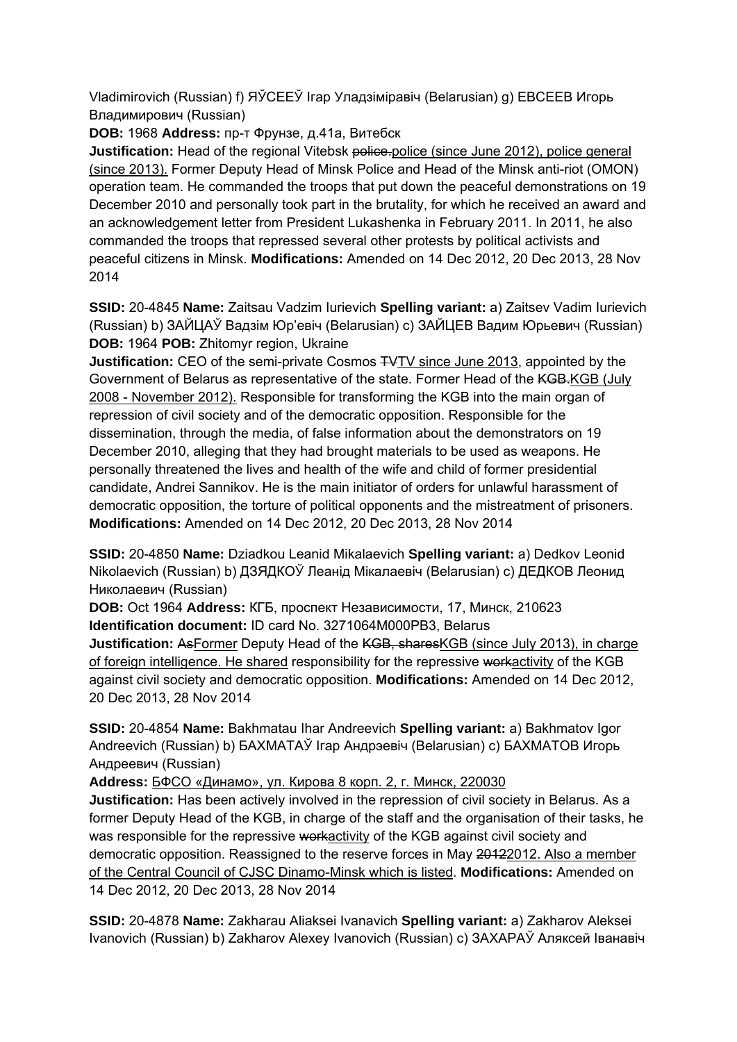Vladimirovich (Russian) f) ЯЎСЕЕЎ Ігар Уладзіміравіч (Belarusian) g) ЕВСЕЕВ Игорь Владимирович (Russian)

**DOB:** 1968 **Address:** пр-т Фрунзе, д.41а, Витебск

**Justification:** Head of the regional Vitebsk police.police (since June 2012), police general (since 2013). Former Deputy Head of Minsk Police and Head of the Minsk anti-riot (OMON) operation team. He commanded the troops that put down the peaceful demonstrations on 19 December 2010 and personally took part in the brutality, for which he received an award and an acknowledgement letter from President Lukashenka in February 2011. In 2011, he also commanded the troops that repressed several other protests by political activists and peaceful citizens in Minsk. **Modifications:** Amended on 14 Dec 2012, 20 Dec 2013, 28 Nov 2014

**SSID:** 20-4845 **Name:** Zaitsau Vadzim Iurievich **Spelling variant:** a) Zaitsev Vadim Iurievich (Russian) b) ЗАЙЦАЎ Вадзім Юр'евіч (Belarusian) c) ЗАЙЦЕВ Вадим Юрьевич (Russian) **DOB:** 1964 **POB:** Zhitomyr region, Ukraine

**Justification:** CEO of the semi-private Cosmos TVTV since June 2013, appointed by the Government of Belarus as representative of the state. Former Head of the KGB.KGB (July 2008 - November 2012). Responsible for transforming the KGB into the main organ of repression of civil society and of the democratic opposition. Responsible for the dissemination, through the media, of false information about the demonstrators on 19 December 2010, alleging that they had brought materials to be used as weapons. He personally threatened the lives and health of the wife and child of former presidential candidate, Andrei Sannikov. He is the main initiator of orders for unlawful harassment of democratic opposition, the torture of political opponents and the mistreatment of prisoners. **Modifications:** Amended on 14 Dec 2012, 20 Dec 2013, 28 Nov 2014

**SSID:** 20-4850 **Name:** Dziadkou Leanid Mikalaevich **Spelling variant:** a) Dedkov Leonid Nikolaevich (Russian) b) ДЗЯДКОЎ Леанід Мікалаевіч (Belarusian) c) ДЕДКОВ Леонид Николаевич (Russian)

**DOB:** Oct 1964 **Address:** КГБ, проспект Независимости, 17, Минск, 210623 **Identification document:** ID card No. 3271064M000PB3, Belarus

**Justification:** AsFormer Deputy Head of the KGB, sharesKGB (since July 2013), in charge of foreign intelligence. He shared responsibility for the repressive workactivity of the KGB against civil society and democratic opposition. **Modifications:** Amended on 14 Dec 2012, 20 Dec 2013, 28 Nov 2014

**SSID:** 20-4854 **Name:** Bakhmatau Ihar Andreevich **Spelling variant:** a) Bakhmatov Igor Andreevich (Russian) b) БАХМАТАЎ Ігар Андрэевіч (Belarusian) c) БАХМАТОВ Игорь Андреевич (Russian)

**Address:** БФСО «Динамо», ул. Кирова 8 корп. 2, г. Минск, 220030

**Justification:** Has been actively involved in the repression of civil society in Belarus. As a former Deputy Head of the KGB, in charge of the staff and the organisation of their tasks, he was responsible for the repressive workactivity of the KGB against civil society and democratic opposition. Reassigned to the reserve forces in May 20122012. Also a member of the Central Council of CJSC Dinamo-Minsk which is listed. **Modifications:** Amended on 14 Dec 2012, 20 Dec 2013, 28 Nov 2014

**SSID:** 20-4878 **Name:** Zakharau Aliaksei Ivanavich **Spelling variant:** a) Zakharov Aleksei Ivanovich (Russian) b) Zakharov Alexey Ivanovich (Russian) c) ЗАХАРАЎ Аляксей Іванавіч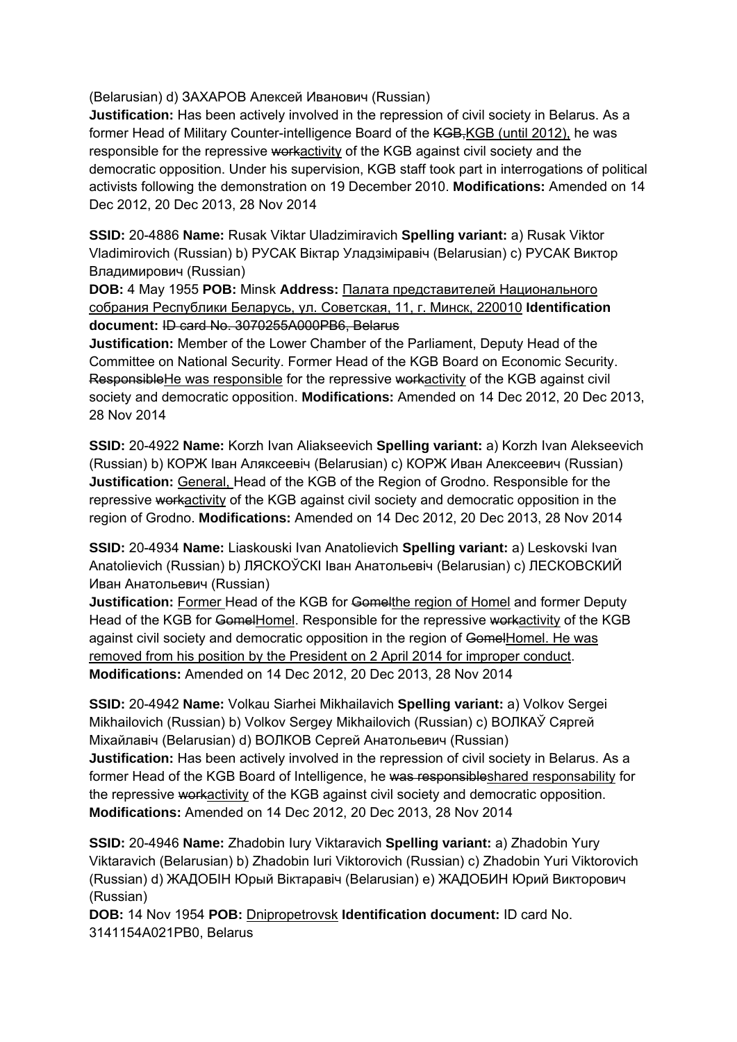(Belarusian) d) ЗАХАРОВ Алексей Иванович (Russian)

**Justification:** Has been actively involved in the repression of civil society in Belarus. As a former Head of Military Counter-intelligence Board of the KGB, KGB (until 2012), he was responsible for the repressive workactivity of the KGB against civil society and the democratic opposition. Under his supervision, KGB staff took part in interrogations of political activists following the demonstration on 19 December 2010. **Modifications:** Amended on 14 Dec 2012, 20 Dec 2013, 28 Nov 2014

**SSID:** 20-4886 **Name:** Rusak Viktar Uladzimiravich **Spelling variant:** a) Rusak Viktor Vladimirovich (Russian) b) РУСАК Віктар Уладзіміравіч (Belarusian) c) РУСАК Виктор Владимирович (Russian)

**DOB:** 4 May 1955 **POB:** Minsk **Address:** Палата представителей Национального собрания Республики Беларусь, ул. Советская, 11, г. Минск, 220010 **Identification document:** ID card No. 3070255A000PB6, Belarus

**Justification:** Member of the Lower Chamber of the Parliament, Deputy Head of the Committee on National Security. Former Head of the KGB Board on Economic Security. ResponsibleHe was responsible for the repressive workactivity of the KGB against civil society and democratic opposition. **Modifications:** Amended on 14 Dec 2012, 20 Dec 2013, 28 Nov 2014

**SSID:** 20-4922 **Name:** Korzh Ivan Aliakseevich **Spelling variant:** a) Korzh Ivan Alekseevich (Russian) b) КОРЖ Іван Аляксеевіч (Belarusian) c) КОРЖ Иван Алексеевич (Russian) **Justification:** General, Head of the KGB of the Region of Grodno. Responsible for the repressive workactivity of the KGB against civil society and democratic opposition in the region of Grodno. **Modifications:** Amended on 14 Dec 2012, 20 Dec 2013, 28 Nov 2014

**SSID:** 20-4934 **Name:** Liaskouski Ivan Anatolievich **Spelling variant:** a) Leskovski Ivan Anatolievich (Russian) b) ЛЯСКОЎСКI Іван Анатольевіч (Belarusian) c) ЛЕСКОВСКИЙ Иван Анатольевич (Russian)

**Justification:** Former Head of the KGB for Gomelthe region of Homel and former Deputy Head of the KGB for GomelHomel. Responsible for the repressive workactivity of the KGB against civil society and democratic opposition in the region of GomelHomel. He was removed from his position by the President on 2 April 2014 for improper conduct. **Modifications:** Amended on 14 Dec 2012, 20 Dec 2013, 28 Nov 2014

**SSID:** 20-4942 **Name:** Volkau Siarhei Mikhailavich **Spelling variant:** a) Volkov Sergei Mikhailovich (Russian) b) Volkov Sergey Mikhailovich (Russian) c) ВОЛКАЎ Сяргей Мiхайлавiч (Belarusian) d) ВОЛКОВ Сергей Анатольевич (Russian) **Justification:** Has been actively involved in the repression of civil society in Belarus. As a former Head of the KGB Board of Intelligence, he was responsible shared responsability for the repressive workactivity of the KGB against civil society and democratic opposition. **Modifications:** Amended on 14 Dec 2012, 20 Dec 2013, 28 Nov 2014

**SSID:** 20-4946 **Name:** Zhadobin Iury Viktaravich **Spelling variant:** a) Zhadobin Yury Viktaravich (Belarusian) b) Zhadobin Iuri Viktorovich (Russian) c) Zhadobin Yuri Viktorovich (Russian) d) ЖАДОБIН Юрый Віктаравіч (Belarusian) e) ЖАДОБИН Юрий Викторович (Russian)

**DOB:** 14 Nov 1954 **POB:** Dnipropetrovsk **Identification document:** ID card No. 3141154A021PB0, Belarus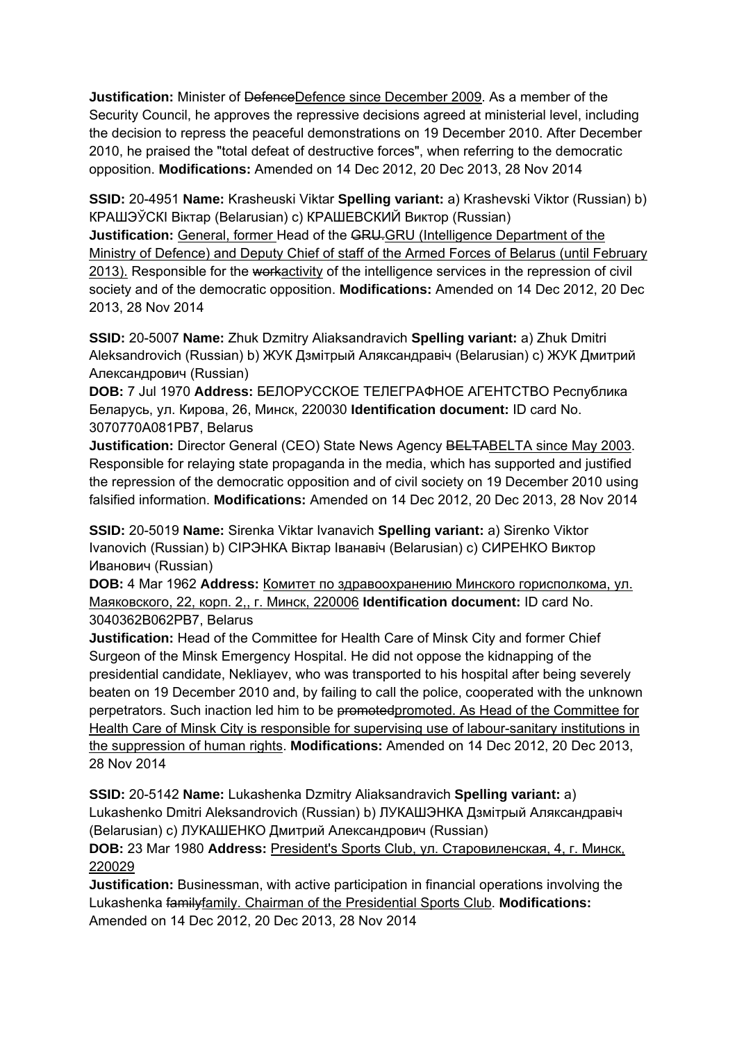**Justification:** Minister of DefenceDefence since December 2009. As a member of the Security Council, he approves the repressive decisions agreed at ministerial level, including the decision to repress the peaceful demonstrations on 19 December 2010. After December 2010, he praised the "total defeat of destructive forces", when referring to the democratic opposition. **Modifications:** Amended on 14 Dec 2012, 20 Dec 2013, 28 Nov 2014

**SSID:** 20-4951 **Name:** Krasheuski Viktar **Spelling variant:** a) Krashevski Viktor (Russian) b) КРАШЭЎСКI Віктар (Belarusian) c) КРАШЕВСКИЙ Виктор (Russian) **Justification:** General, former Head of the GRU.GRU (Intelligence Department of the Ministry of Defence) and Deputy Chief of staff of the Armed Forces of Belarus (until February 2013). Responsible for the workactivity of the intelligence services in the repression of civil society and of the democratic opposition. **Modifications:** Amended on 14 Dec 2012, 20 Dec 2013, 28 Nov 2014

**SSID:** 20-5007 **Name:** Zhuk Dzmitry Aliaksandravich **Spelling variant:** a) Zhuk Dmitri Aleksandrovich (Russian) b) ЖУК Дзмітрый Аляксандравіч (Belarusian) c) ЖУК Дмитрий Александрович (Russian)

**DOB:** 7 Jul 1970 **Address:** БЕЛОРУССКОЕ ТЕЛЕГРАФНОЕ АГЕНТСТВО Республика Беларусь, ул. Кирова, 26, Минск, 220030 **Identification document:** ID card No. 3070770A081PB7, Belarus

**Justification:** Director General (CEO) State News Agency BELTABELTA since May 2003. Responsible for relaying state propaganda in the media, which has supported and justified the repression of the democratic opposition and of civil society on 19 December 2010 using falsified information. **Modifications:** Amended on 14 Dec 2012, 20 Dec 2013, 28 Nov 2014

**SSID:** 20-5019 **Name:** Sirenka Viktar Ivanavich **Spelling variant:** a) Sirenko Viktor Ivanovich (Russian) b) CIРЭНКА Віктар Іванавіч (Belarusian) c) СИРЕНКО Виктор Иванович (Russian)

**DOB:** 4 Mar 1962 **Address:** Комитет по здравоохранению Минского горисполкома, ул. Маяковского, 22, корп. 2,, г. Минск, 220006 **Identification document:** ID card No. 3040362B062PB7, Belarus

**Justification:** Head of the Committee for Health Care of Minsk City and former Chief Surgeon of the Minsk Emergency Hospital. He did not oppose the kidnapping of the presidential candidate, Nekliayev, who was transported to his hospital after being severely beaten on 19 December 2010 and, by failing to call the police, cooperated with the unknown perpetrators. Such inaction led him to be promotedpromoted. As Head of the Committee for Health Care of Minsk City is responsible for supervising use of labour-sanitary institutions in the suppression of human rights. **Modifications:** Amended on 14 Dec 2012, 20 Dec 2013, 28 Nov 2014

**SSID:** 20-5142 **Name:** Lukashenka Dzmitry Aliaksandravich **Spelling variant:** a) Lukashenko Dmitri Aleksandrovich (Russian) b) ЛУКАШЭНКА Дзмітрый Аляксандравіч (Belarusian) c) ЛУКАШЕНКО Дмитрий Александрович (Russian)

**DOB:** 23 Mar 1980 **Address:** President's Sports Club, ул. Старовиленская, 4, г. Минск, 220029

**Justification:** Businessman, with active participation in financial operations involving the Lukashenka familyfamily. Chairman of the Presidential Sports Club. **Modifications:**  Amended on 14 Dec 2012, 20 Dec 2013, 28 Nov 2014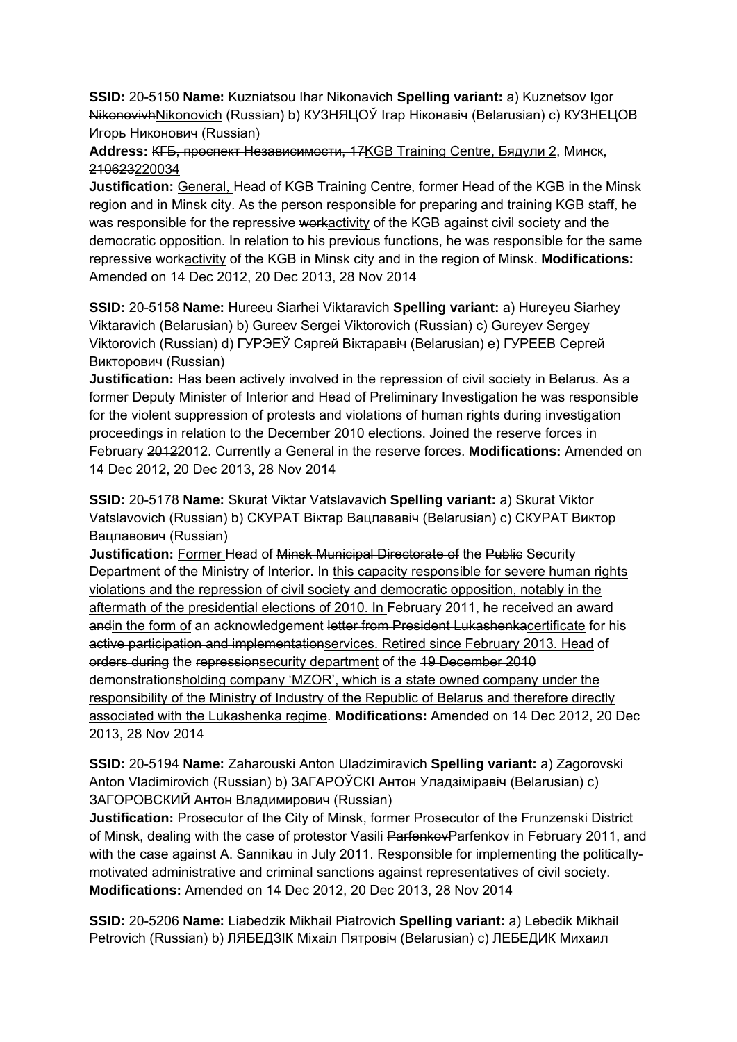**SSID:** 20-5150 **Name:** Kuzniatsou Ihar Nikonavich **Spelling variant:** a) Kuznetsov Igor NikonovivhNikonovich (Russian) b) КУЗНЯЦОЎ Ігар Ніконавіч (Belarusian) с) КУЗНЕЦОВ Игорь Никонович (Russian)

## **Address:** КГБ, проспект Независимости, 17KGB Training Centre, Бядули 2, Минск, 210623220034

**Justification:** General, Head of KGB Training Centre, former Head of the KGB in the Minsk region and in Minsk city. As the person responsible for preparing and training KGB staff, he was responsible for the repressive workactivity of the KGB against civil society and the democratic opposition. In relation to his previous functions, he was responsible for the same repressive workactivity of the KGB in Minsk city and in the region of Minsk. **Modifications:**  Amended on 14 Dec 2012, 20 Dec 2013, 28 Nov 2014

**SSID:** 20-5158 **Name:** Hureeu Siarhei Viktaravich **Spelling variant:** a) Hureyeu Siarhey Viktaravich (Belarusian) b) Gureev Sergei Viktorovich (Russian) c) Gureyev Sergey Viktorovich (Russian) d) ГУРЭЕЎ Сяргей Віктаравіч (Belarusian) e) ГУРЕЕВ Сергей Викторович (Russian)

**Justification:** Has been actively involved in the repression of civil society in Belarus. As a former Deputy Minister of Interior and Head of Preliminary Investigation he was responsible for the violent suppression of protests and violations of human rights during investigation proceedings in relation to the December 2010 elections. Joined the reserve forces in February 20122012. Currently a General in the reserve forces. **Modifications:** Amended on 14 Dec 2012, 20 Dec 2013, 28 Nov 2014

**SSID:** 20-5178 **Name:** Skurat Viktar Vatslavavich **Spelling variant:** a) Skurat Viktor Vatslavovich (Russian) b) СКУРАТ Віктар Вацлавaвiч (Belarusian) c) СКУРАТ Виктор Вацлавович (Russian)

**Justification:** Former Head of Minsk Municipal Directorate of the Public Security Department of the Ministry of Interior. In this capacity responsible for severe human rights violations and the repression of civil society and democratic opposition, notably in the aftermath of the presidential elections of 2010. In February 2011, he received an award andin the form of an acknowledgement letter from President Lukashenkacertificate for his active participation and implementationservices. Retired since February 2013. Head of orders during the repressionsecurity department of the 19 December 2010 demonstrationsholding company 'MZOR', which is a state owned company under the responsibility of the Ministry of Industry of the Republic of Belarus and therefore directly associated with the Lukashenka regime. **Modifications:** Amended on 14 Dec 2012, 20 Dec 2013, 28 Nov 2014

**SSID:** 20-5194 **Name:** Zaharouski Anton Uladzimiravich **Spelling variant:** a) Zagorovski Anton Vladimirovich (Russian) b) ЗАГАРОЎСКI Антон Уладзiмiравiч (Belarusian) c) ЗАГОРОВСКИЙ Антон Владимирович (Russian)

**Justification:** Prosecutor of the City of Minsk, former Prosecutor of the Frunzenski District of Minsk, dealing with the case of protestor Vasili Parfenkov Parfenkov in February 2011, and with the case against A. Sannikau in July 2011. Responsible for implementing the politicallymotivated administrative and criminal sanctions against representatives of civil society. **Modifications:** Amended on 14 Dec 2012, 20 Dec 2013, 28 Nov 2014

**SSID:** 20-5206 **Name:** Liabedzik Mikhail Piatrovich **Spelling variant:** a) Lebedik Mikhail Petrovich (Russian) b) ЛЯБЕДЗIК Мiхаiл Пятровiч (Belarusian) c) ЛЕБЕДИК Михаил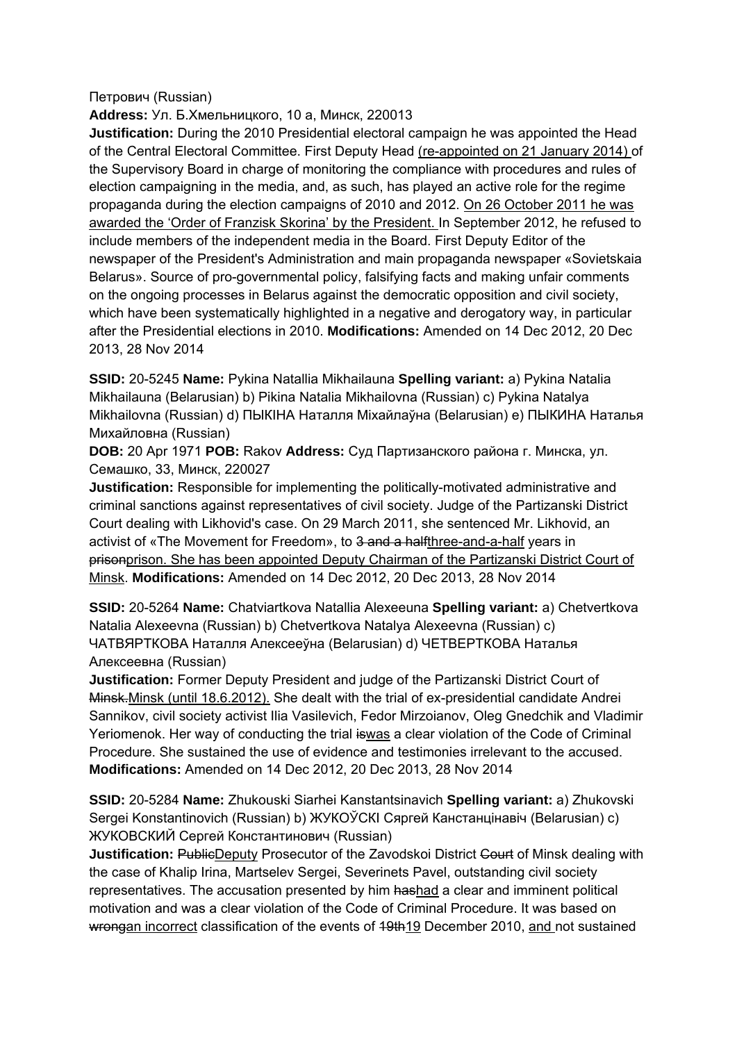### Петрович (Russian)

## **Address:** Ул. Б.Хмельницкого, 10 а, Минск, 220013

**Justification:** During the 2010 Presidential electoral campaign he was appointed the Head of the Central Electoral Committee. First Deputy Head (re-appointed on 21 January 2014) of the Supervisory Board in charge of monitoring the compliance with procedures and rules of election campaigning in the media, and, as such, has played an active role for the regime propaganda during the election campaigns of 2010 and 2012. On 26 October 2011 he was awarded the 'Order of Franzisk Skorina' by the President. In September 2012, he refused to include members of the independent media in the Board. First Deputy Editor of the newspaper of the President's Administration and main propaganda newspaper «Sovietskaia Belarus». Source of pro-governmental policy, falsifying facts and making unfair comments on the ongoing processes in Belarus against the democratic opposition and civil society, which have been systematically highlighted in a negative and derogatory way, in particular after the Presidential elections in 2010. **Modifications:** Amended on 14 Dec 2012, 20 Dec 2013, 28 Nov 2014

**SSID:** 20-5245 **Name:** Pykina Natallia Mikhailauna **Spelling variant:** a) Pykina Natalia Mikhailauna (Belarusian) b) Pikina Natalia Mikhailovna (Russian) c) Pykina Natalya Mikhailovna (Russian) d) ПЫКIНА Наталля Міхайлаўна (Belarusian) e) ПЫКИНА Наталья Михайловна (Russian)

**DOB:** 20 Apr 1971 **POB:** Rakov **Address:** Суд Партизанского района г. Минска, ул. Семашко, 33, Минск, 220027

**Justification:** Responsible for implementing the politically-motivated administrative and criminal sanctions against representatives of civil society. Judge of the Partizanski District Court dealing with Likhovid's case. On 29 March 2011, she sentenced Mr. Likhovid, an activist of «The Movement for Freedom», to 3 and a halfthree-and-a-half years in prisonprison. She has been appointed Deputy Chairman of the Partizanski District Court of Minsk. **Modifications:** Amended on 14 Dec 2012, 20 Dec 2013, 28 Nov 2014

**SSID:** 20-5264 **Name:** Chatviartkova Natallia Alexeeuna **Spelling variant:** a) Chetvertkova Natalia Alexeevna (Russian) b) Chetvertkova Natalya Alexeevna (Russian) c) ЧАТВЯРТКОВА Наталля Алексееўнa (Belarusian) d) ЧЕТВЕРТКОВА Наталья Алексеевнa (Russian)

**Justification:** Former Deputy President and judge of the Partizanski District Court of Minsk.Minsk (until 18.6.2012). She dealt with the trial of ex-presidential candidate Andrei Sannikov, civil society activist Ilia Vasilevich, Fedor Mirzoianov, Oleg Gnedchik and Vladimir Yeriomenok. Her way of conducting the trial iswas a clear violation of the Code of Criminal Procedure. She sustained the use of evidence and testimonies irrelevant to the accused. **Modifications:** Amended on 14 Dec 2012, 20 Dec 2013, 28 Nov 2014

**SSID:** 20-5284 **Name:** Zhukouski Siarhei Kanstantsinavich **Spelling variant:** a) Zhukovski Sergei Konstantinovich (Russian) b) ЖУКОЎСКI Сяргей Канстанцінавіч (Belarusian) c) ЖУКОВСКИЙ Сергей Константинович (Russian)

**Justification: PublicDeputy Prosecutor of the Zavodskoi District Court of Minsk dealing with** the case of Khalip Irina, Martselev Sergei, Severinets Pavel, outstanding civil society representatives. The accusation presented by him hashad a clear and imminent political motivation and was a clear violation of the Code of Criminal Procedure. It was based on wrongan incorrect classification of the events of 49th19 December 2010, and not sustained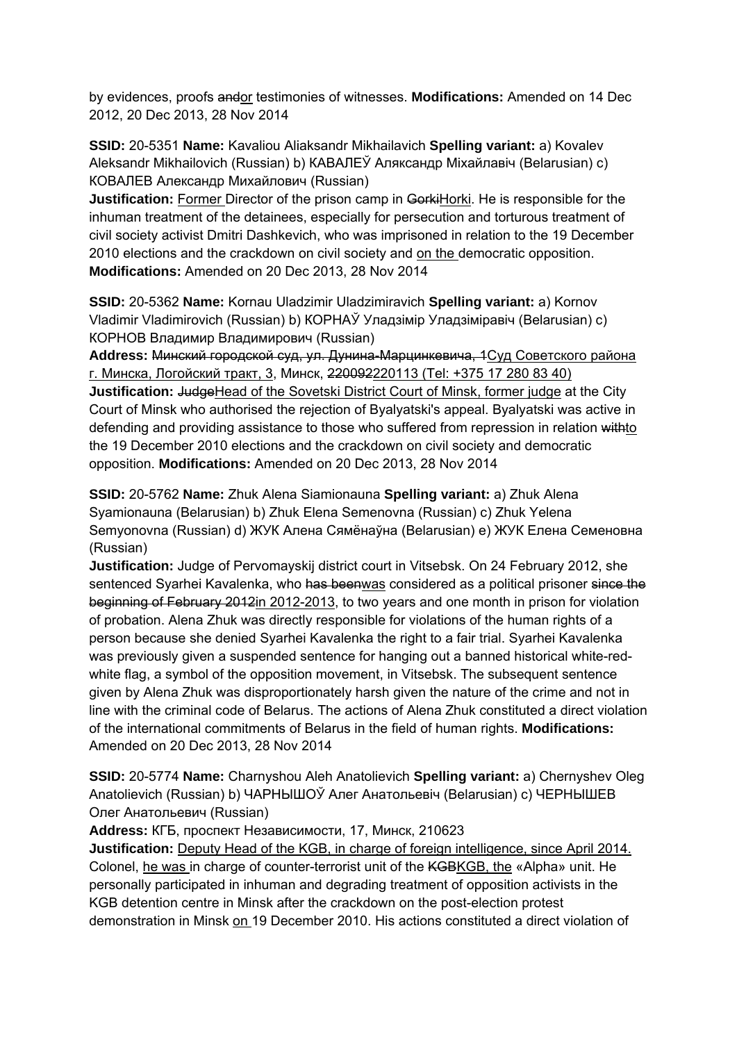by evidences, proofs andor testimonies of witnesses. **Modifications:** Amended on 14 Dec 2012, 20 Dec 2013, 28 Nov 2014

**SSID:** 20-5351 **Name:** Kavaliou Aliaksandr Mikhailavich **Spelling variant:** a) Kovalev Aleksandr Mikhailovich (Russian) b) КАВАЛЕЎ Аляксандр Міхайлавіч (Belarusian) c) КОВАЛЕВ Александр Михайлович (Russian)

**Justification:** Former Director of the prison camp in GorkiHorki. He is responsible for the inhuman treatment of the detainees, especially for persecution and torturous treatment of civil society activist Dmitri Dashkevich, who was imprisoned in relation to the 19 December 2010 elections and the crackdown on civil society and on the democratic opposition. **Modifications:** Amended on 20 Dec 2013, 28 Nov 2014

**SSID:** 20-5362 **Name:** Kornau Uladzimir Uladzimiravich **Spelling variant:** a) Kornov Vladimir Vladimirovich (Russian) b) КОРНАЎ Уладзімір Уладзіміравіч (Belarusian) c) КОРНОВ Владимир Владимирович (Russian)

**Address:** Минский городской суд, ул. Дунина-Марцинкевича, 1Суд Советского района г. Минска, Логойский тракт, 3, Минск, 220092220113 (Tel: +375 17 280 83 40) **Justification:** JudgeHead of the Sovetski District Court of Minsk, former judge at the City Court of Minsk who authorised the rejection of Byalyatski's appeal. Byalyatski was active in defending and providing assistance to those who suffered from repression in relation withto the 19 December 2010 elections and the crackdown on civil society and democratic opposition. **Modifications:** Amended on 20 Dec 2013, 28 Nov 2014

**SSID:** 20-5762 **Name:** Zhuk Alena Siamionauna **Spelling variant:** a) Zhuk Alena Syamionauna (Belarusian) b) Zhuk Elena Semenovna (Russian) c) Zhuk Yelena Semyonovna (Russian) d) ЖУК Алена Сямёнаўна (Belarusian) e) ЖУК Елена Семеновна (Russian)

**Justification:** Judge of Pervomayskij district court in Vitsebsk. On 24 February 2012, she sentenced Syarhei Kavalenka, who has beenwas considered as a political prisoner since the beginning of February 2012in 2012-2013, to two years and one month in prison for violation of probation. Alena Zhuk was directly responsible for violations of the human rights of a person because she denied Syarhei Kavalenka the right to a fair trial. Syarhei Kavalenka was previously given a suspended sentence for hanging out a banned historical white-redwhite flag, a symbol of the opposition movement, in Vitsebsk. The subsequent sentence given by Alena Zhuk was disproportionately harsh given the nature of the crime and not in line with the criminal code of Belarus. The actions of Alena Zhuk constituted a direct violation of the international commitments of Belarus in the field of human rights. **Modifications:**  Amended on 20 Dec 2013, 28 Nov 2014

**SSID:** 20-5774 **Name:** Charnyshou Aleh Anatolievich **Spelling variant:** a) Chernyshev Oleg Anatolievich (Russian) b) ЧАРНЫШОЎ Алег Анатольевiч (Belarusian) c) ЧЕРНЫШЕВ Олег Анатольевич (Russian)

**Address:** КГБ, проспект Независимости, 17, Минск, 210623

**Justification:** Deputy Head of the KGB, in charge of foreign intelligence, since April 2014. Colonel, he was in charge of counter-terrorist unit of the KGBKGB, the «Alpha» unit. He personally participated in inhuman and degrading treatment of opposition activists in the KGB detention centre in Minsk after the crackdown on the post-election protest demonstration in Minsk on 19 December 2010. His actions constituted a direct violation of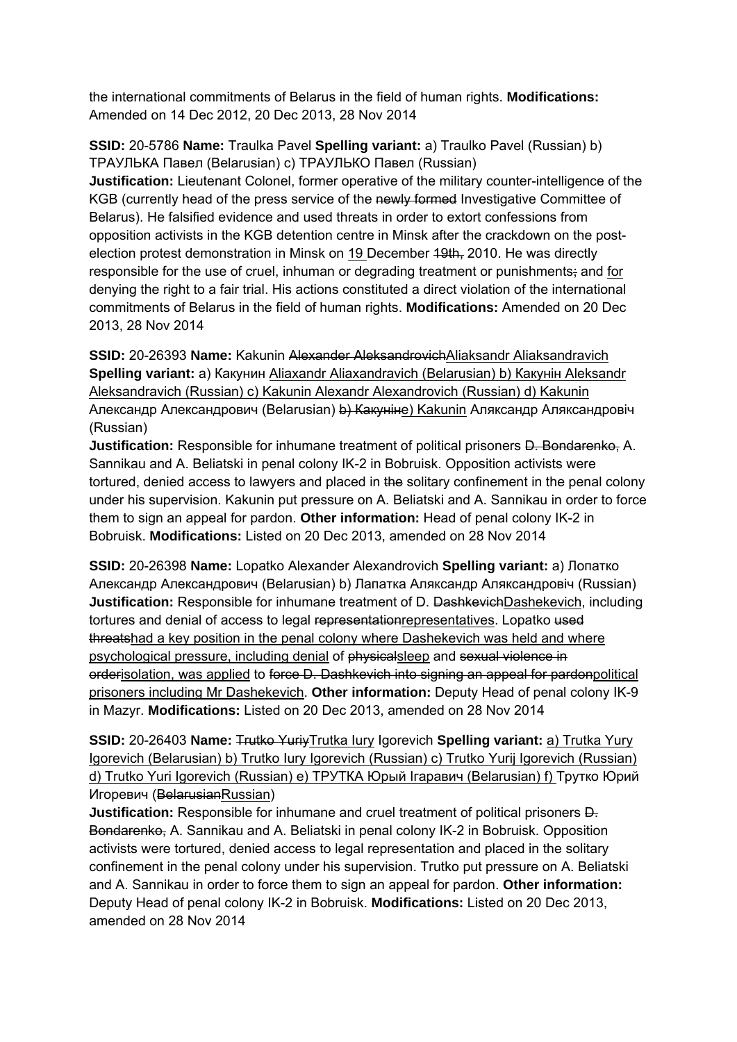the international commitments of Belarus in the field of human rights. **Modifications:**  Amended on 14 Dec 2012, 20 Dec 2013, 28 Nov 2014

**SSID:** 20-5786 **Name:** Traulka Pavel **Spelling variant:** a) Traulko Pavel (Russian) b) ТРАУЛЬКА Павел (Belarusian) c) ТРАУЛЬКО Павел (Russian)

**Justification:** Lieutenant Colonel, former operative of the military counter-intelligence of the KGB (currently head of the press service of the newly formed Investigative Committee of Belarus). He falsified evidence and used threats in order to extort confessions from opposition activists in the KGB detention centre in Minsk after the crackdown on the postelection protest demonstration in Minsk on 19 December 19th, 2010. He was directly responsible for the use of cruel, inhuman or degrading treatment or punishments; and for denying the right to a fair trial. His actions constituted a direct violation of the international commitments of Belarus in the field of human rights. **Modifications:** Amended on 20 Dec 2013, 28 Nov 2014

**SSID:** 20-26393 Name: Kakunin Alexander AleksandrovichAliaksandr Aliaksandravich **Spelling variant:** a) Какунин Aliaxandr Aliaxandravich (Belarusian) b) Какунiн Aleksandr Aleksandravich (Russian) c) Kakunin Alexandr Alexandrovich (Russian) d) Kakunin Александр Александрович (Belarusian) b) Какуніне) Kakunin Аляксандр Аляксандровіч (Russian)

**Justification:** Responsible for inhumane treatment of political prisoners D. Bondarenko, A. Sannikau and A. Beliatski in penal colony IK-2 in Bobruisk. Opposition activists were tortured, denied access to lawyers and placed in the solitary confinement in the penal colony under his supervision. Kakunin put pressure on A. Beliatski and A. Sannikau in order to force them to sign an appeal for pardon. **Other information:** Head of penal colony IK-2 in Bobruisk. **Modifications:** Listed on 20 Dec 2013, amended on 28 Nov 2014

**SSID:** 20-26398 **Name:** Lopatko Alexander Alexandrovich **Spelling variant:** a) Лопатко Александр Александрович (Belarusian) b) Лапатка Аляксандр Аляксандровiч (Russian) **Justification:** Responsible for inhumane treatment of D. DashkevichDashekevich, including tortures and denial of access to legal representationrepresentatives. Lopatko used threatshad a key position in the penal colony where Dashekevich was held and where psychological pressure, including denial of physicalsleep and sexual violence in orderisolation, was applied to force D. Dashkevich into signing an appeal for pardonpolitical prisoners including Mr Dashekevich. **Other information:** Deputy Head of penal colony IK-9 in Mazyr. **Modifications:** Listed on 20 Dec 2013, amended on 28 Nov 2014

**SSID:** 20-26403 **Name:** Trutko YuriyTrutka Iury Igorevich **Spelling variant:** a) Trutka Yury Igorevich (Belarusian) b) Trutko Iury Igorevich (Russian) c) Trutko Yurij Igorevich (Russian) d) Trutko Yuri Igorevich (Russian) e) ТРУТКA Юрый Iгаравич (Belarusian) f) Трутко Юрий Игоревич (BelarusianRussian)

**Justification:** Responsible for inhumane and cruel treatment of political prisoners  $\overline{D}$ . Bondarenko, A. Sannikau and A. Beliatski in penal colony IK-2 in Bobruisk. Opposition activists were tortured, denied access to legal representation and placed in the solitary confinement in the penal colony under his supervision. Trutko put pressure on A. Beliatski and A. Sannikau in order to force them to sign an appeal for pardon. **Other information:** Deputy Head of penal colony IK-2 in Bobruisk. **Modifications:** Listed on 20 Dec 2013, amended on 28 Nov 2014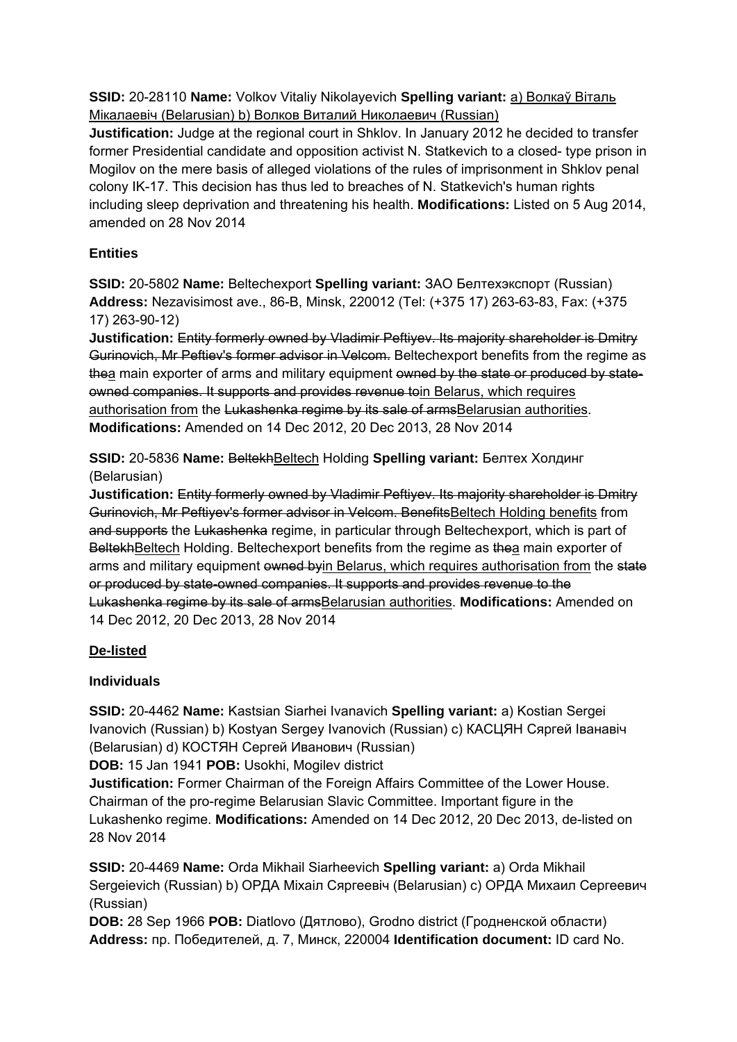**SSID:** 20-28110 **Name:** Volkov Vitaliy Nikolayevich **Spelling variant:** a) Волкаў Віталь Мiкалаевiч (Belarusian) b) Волков Виталий Николаевич (Russian)

**Justification:** Judge at the regional court in Shklov. In January 2012 he decided to transfer former Presidential candidate and opposition activist N. Statkevich to a closed- type prison in Mogilov on the mere basis of alleged violations of the rules of imprisonment in Shklov penal colony IK-17. This decision has thus led to breaches of N. Statkevich's human rights including sleep deprivation and threatening his health. **Modifications:** Listed on 5 Aug 2014, amended on 28 Nov 2014

# **Entities**

**SSID:** 20-5802 **Name:** Beltechexport **Spelling variant:** ЗАО Белтехэкспорт (Russian) **Address:** Nezavisimost ave., 86-B, Minsk, 220012 (Tel: (+375 17) 263-63-83, Fax: (+375 17) 263-90-12)

**Justification:** Entity formerly owned by Vladimir Peftiyev. Its majority shareholder is Dmitry Gurinovich, Mr Peftiev's former advisor in Velcom. Beltechexport benefits from the regime as thea main exporter of arms and military equipment owned by the state or produced by stateowned companies. It supports and provides revenue toin Belarus, which requires authorisation from the Lukashenka regime by its sale of armsBelarusian authorities. **Modifications:** Amended on 14 Dec 2012, 20 Dec 2013, 28 Nov 2014

**SSID:** 20-5836 **Name:** BeltekhBeltech Holding **Spelling variant:** Белтех Холдинг (Belarusian)

**Justification:** Entity formerly owned by Vladimir Peftiyev. Its majority shareholder is Dmitry Gurinovich, Mr Peftiyev's former advisor in Velcom. BenefitsBeltech Holding benefits from and supports the Lukashenka regime, in particular through Beltechexport, which is part of BeltekhBeltech Holding. Beltechexport benefits from the regime as thea main exporter of arms and military equipment owned by in Belarus, which requires authorisation from the state or produced by state-owned companies. It supports and provides revenue to the Lukashenka regime by its sale of armsBelarusian authorities. **Modifications:** Amended on 14 Dec 2012, 20 Dec 2013, 28 Nov 2014

# **De-listed**

## **Individuals**

**SSID:** 20-4462 **Name:** Kastsian Siarhei Ivanavich **Spelling variant:** a) Kostian Sergei Ivanovich (Russian) b) Kostyan Sergey Ivanovich (Russian) c) КАСЦЯН Сяргей Іванавіч (Belarusian) d) КОСТЯН Сергей Иванович (Russian)

**DOB:** 15 Jan 1941 **POB:** Usokhi, Mogilev district

**Justification:** Former Chairman of the Foreign Affairs Committee of the Lower House. Chairman of the pro-regime Belarusian Slavic Committee. Important figure in the Lukashenko regime. **Modifications:** Amended on 14 Dec 2012, 20 Dec 2013, de-listed on 28 Nov 2014

**SSID:** 20-4469 **Name:** Orda Mikhail Siarheevich **Spelling variant:** a) Orda Mikhail Sergeievich (Russian) b) ОРДА Міхаіл Сяргеевіч (Belarusian) c) ОРДА Михаил Сергеевич (Russian)

**DOB:** 28 Sep 1966 **POB:** Diatlovo (Дятлово), Grodno district (Гродненской области) **Address:** пр. Победителей, д. 7, Минск, 220004 **Identification document:** ID card No.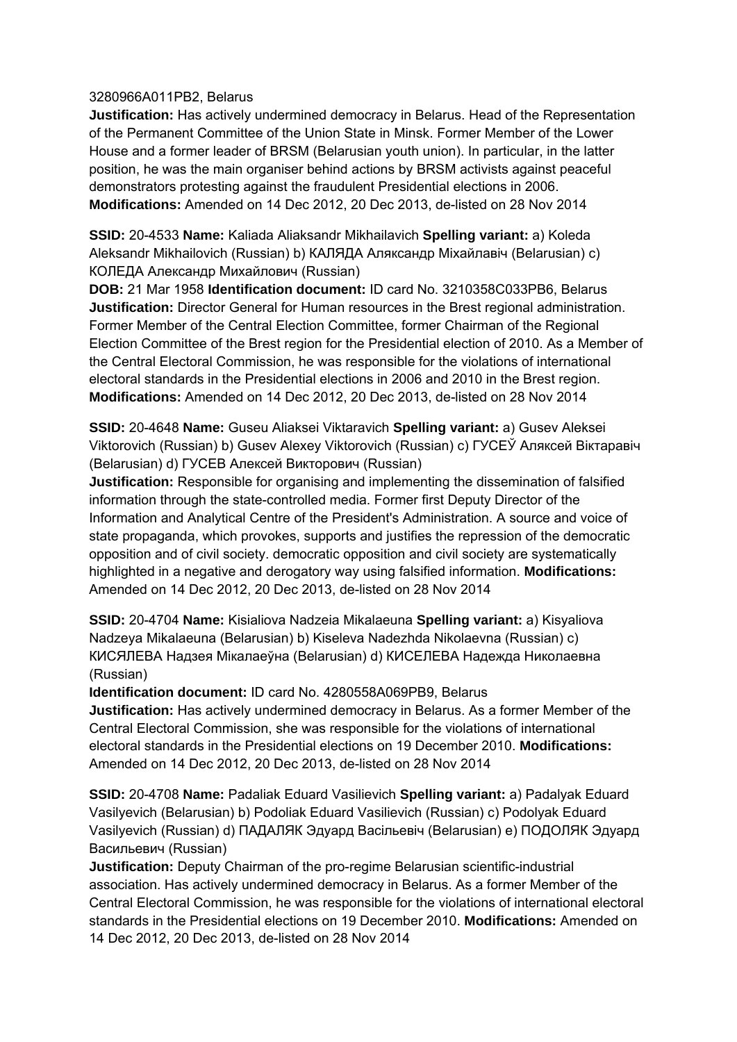#### 3280966A011PB2, Belarus

**Justification:** Has actively undermined democracy in Belarus. Head of the Representation of the Permanent Committee of the Union State in Minsk. Former Member of the Lower House and a former leader of BRSM (Belarusian youth union). In particular, in the latter position, he was the main organiser behind actions by BRSM activists against peaceful demonstrators protesting against the fraudulent Presidential elections in 2006. **Modifications:** Amended on 14 Dec 2012, 20 Dec 2013, de-listed on 28 Nov 2014

**SSID:** 20-4533 **Name:** Kaliada Aliaksandr Mikhailavich **Spelling variant:** a) Koleda Aleksandr Mikhailovich (Russian) b) КАЛЯДА Аляксандр Міхайлавіч (Belarusian) c) КОЛЕДА Александр Михайлович (Russian)

**DOB:** 21 Mar 1958 **Identification document:** ID card No. 3210358C033PB6, Belarus **Justification:** Director General for Human resources in the Brest regional administration. Former Member of the Central Election Committee, former Chairman of the Regional Election Committee of the Brest region for the Presidential election of 2010. As a Member of the Central Electoral Commission, he was responsible for the violations of international electoral standards in the Presidential elections in 2006 and 2010 in the Brest region. **Modifications:** Amended on 14 Dec 2012, 20 Dec 2013, de-listed on 28 Nov 2014

**SSID:** 20-4648 **Name:** Guseu Aliaksei Viktaravich **Spelling variant:** a) Gusev Aleksei Viktorovich (Russian) b) Gusev Alexey Viktorovich (Russian) c) ГУСЕЎ Аляксей Вiктаравіч (Belarusian) d) ГУСЕВ Алексей Викторович (Russian)

**Justification:** Responsible for organising and implementing the dissemination of falsified information through the state-controlled media. Former first Deputy Director of the Information and Analytical Centre of the President's Administration. A source and voice of state propaganda, which provokes, supports and justifies the repression of the democratic opposition and of civil society. democratic opposition and civil society are systematically highlighted in a negative and derogatory way using falsified information. **Modifications:**  Amended on 14 Dec 2012, 20 Dec 2013, de-listed on 28 Nov 2014

**SSID:** 20-4704 **Name:** Kisialiova Nadzeia Mikalaeuna **Spelling variant:** a) Kisyaliova Nadzeya Mikalaeuna (Belarusian) b) Kiseleva Nadezhda Nikolaevna (Russian) c) КИСЯЛЕВА Надзея Мiкалаеўна (Belarusian) d) КИСЕЛЕВА Надежда Николаевна (Russian)

**Identification document:** ID card No. 4280558A069PB9, Belarus

**Justification:** Has actively undermined democracy in Belarus. As a former Member of the Central Electoral Commission, she was responsible for the violations of international electoral standards in the Presidential elections on 19 December 2010. **Modifications:**  Amended on 14 Dec 2012, 20 Dec 2013, de-listed on 28 Nov 2014

**SSID:** 20-4708 **Name:** Padaliak Eduard Vasilievich **Spelling variant:** a) Padalyak Eduard Vasilyevich (Belarusian) b) Podoliak Eduard Vasilievich (Russian) c) Podolyak Eduard Vasilyevich (Russian) d) ПАДАЛЯК Эдуард Васільевіч (Belarusian) e) ПОДОЛЯК Эдуард Васильевич (Russian)

**Justification:** Deputy Chairman of the pro-regime Belarusian scientific-industrial association. Has actively undermined democracy in Belarus. As a former Member of the Central Electoral Commission, he was responsible for the violations of international electoral standards in the Presidential elections on 19 December 2010. **Modifications:** Amended on 14 Dec 2012, 20 Dec 2013, de-listed on 28 Nov 2014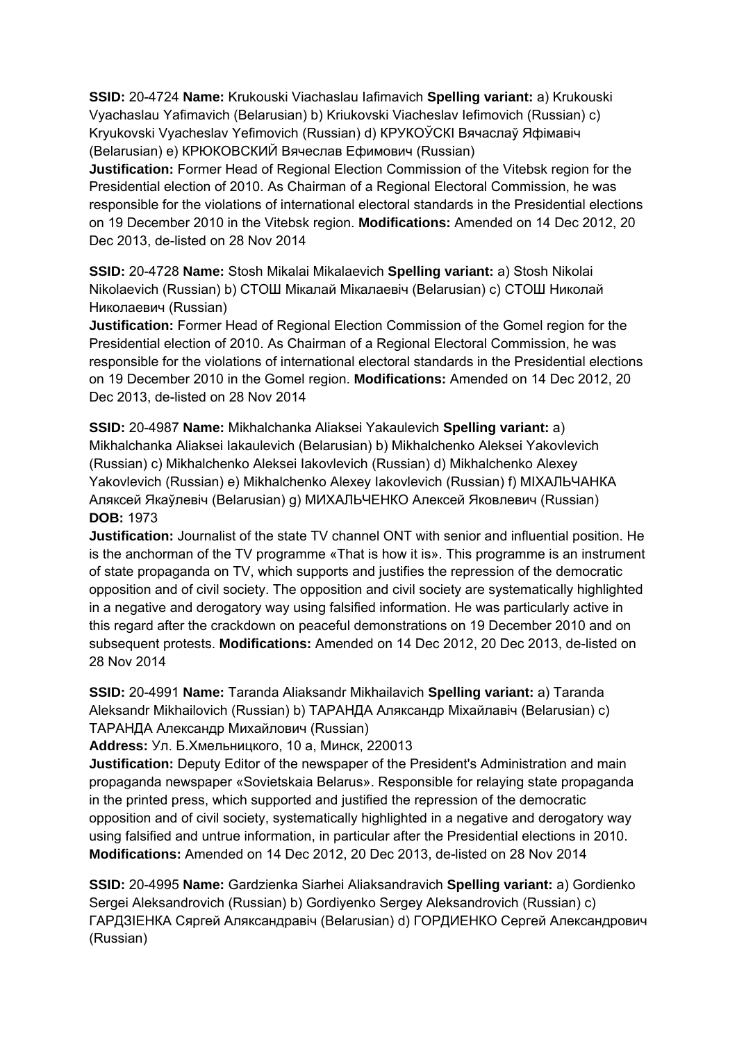**SSID:** 20-4724 **Name:** Krukouski Viachaslau Iafimavich **Spelling variant:** a) Krukouski Vyachaslau Yafimavich (Belarusian) b) Kriukovski Viacheslav Iefimovich (Russian) c) Kryukovski Vyacheslav Yefimovich (Russian) d) КРУКОЎСКI Вячаслаў Яфімавіч (Belarusian) e) КРЮКОВСКИЙ Вячеслав Ефимович (Russian)

**Justification:** Former Head of Regional Election Commission of the Vitebsk region for the Presidential election of 2010. As Chairman of a Regional Electoral Commission, he was responsible for the violations of international electoral standards in the Presidential elections on 19 December 2010 in the Vitebsk region. **Modifications:** Amended on 14 Dec 2012, 20 Dec 2013, de-listed on 28 Nov 2014

**SSID:** 20-4728 **Name:** Stosh Mikalai Mikalaevich **Spelling variant:** a) Stosh Nikolai Nikolaevich (Russian) b) СТОШ Мікалай Мікалаевіч (Belarusian) c) СТОШ Николай Николаевич (Russian)

**Justification:** Former Head of Regional Election Commission of the Gomel region for the Presidential election of 2010. As Chairman of a Regional Electoral Commission, he was responsible for the violations of international electoral standards in the Presidential elections on 19 December 2010 in the Gomel region. **Modifications:** Amended on 14 Dec 2012, 20 Dec 2013, de-listed on 28 Nov 2014

**SSID:** 20-4987 **Name:** Mikhalchanka Aliaksei Yakaulevich **Spelling variant:** a) Mikhalchanka Aliaksei Iakaulevich (Belarusian) b) Mikhalchenko Aleksei Yakovlevich (Russian) c) Mikhalchenko Aleksei Iakovlevich (Russian) d) Mikhalchenko Alexey Yakovlevich (Russian) e) Mikhalchenko Alexey Iakovlevich (Russian) f) МIХАЛЬЧАНКА Аляксей Якаўлевiч (Belarusian) g) МИХАЛЬЧЕНКО Алексей Яковлевич (Russian) **DOB:** 1973

**Justification:** Journalist of the state TV channel ONT with senior and influential position. He is the anchorman of the TV programme «That is how it is». This programme is an instrument of state propaganda on TV, which supports and justifies the repression of the democratic opposition and of civil society. The opposition and civil society are systematically highlighted in a negative and derogatory way using falsified information. He was particularly active in this regard after the crackdown on peaceful demonstrations on 19 December 2010 and on subsequent protests. **Modifications:** Amended on 14 Dec 2012, 20 Dec 2013, de-listed on 28 Nov 2014

**SSID:** 20-4991 **Name:** Taranda Aliaksandr Mikhailavich **Spelling variant:** a) Taranda Aleksandr Mikhailovich (Russian) b) ТАРАНДА Аляксандр Міхайлавіч (Belarusian) c) ТАРАНДА Александр Михайлович (Russian)

**Address:** Ул. Б.Хмельницкого, 10 а, Минск, 220013

**Justification:** Deputy Editor of the newspaper of the President's Administration and main propaganda newspaper «Sovietskaia Belarus». Responsible for relaying state propaganda in the printed press, which supported and justified the repression of the democratic opposition and of civil society, systematically highlighted in a negative and derogatory way using falsified and untrue information, in particular after the Presidential elections in 2010. **Modifications:** Amended on 14 Dec 2012, 20 Dec 2013, de-listed on 28 Nov 2014

**SSID:** 20-4995 **Name:** Gardzienka Siarhei Aliaksandravich **Spelling variant:** a) Gordienko Sergei Aleksandrovich (Russian) b) Gordiyenko Sergey Aleksandrovich (Russian) c) ГАРДЗIЕНКА Сяргей Аляксандравіч (Belarusian) d) ГОРДИЕНКО Сергей Александрович (Russian)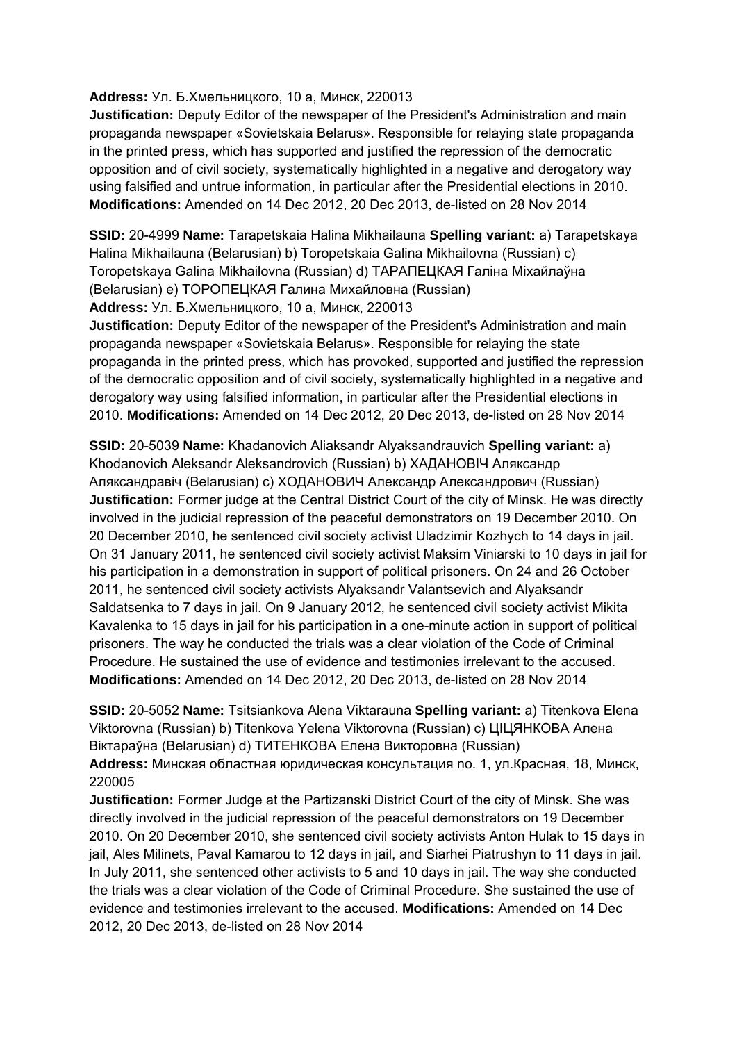#### **Address:** Ул. Б.Хмельницкого, 10 а, Минск, 220013

**Justification:** Deputy Editor of the newspaper of the President's Administration and main propaganda newspaper «Sovietskaia Belarus». Responsible for relaying state propaganda in the printed press, which has supported and justified the repression of the democratic opposition and of civil society, systematically highlighted in a negative and derogatory way using falsified and untrue information, in particular after the Presidential elections in 2010. **Modifications:** Amended on 14 Dec 2012, 20 Dec 2013, de-listed on 28 Nov 2014

**SSID:** 20-4999 **Name:** Tarapetskaia Halina Mikhailauna **Spelling variant:** a) Tarapetskaya Halina Mikhailauna (Belarusian) b) Toropetskaia Galina Mikhailovna (Russian) c) Toropetskaya Galina Mikhailovna (Russian) d) ТАРАПЕЦКАЯ Галіна Міхайлаўна (Belarusian) e) ТОРОПЕЦКАЯ Галина Михайловна (Russian)

**Address:** Ул. Б.Хмельницкого, 10 а, Минск, 220013

**Justification:** Deputy Editor of the newspaper of the President's Administration and main propaganda newspaper «Sovietskaia Belarus». Responsible for relaying the state propaganda in the printed press, which has provoked, supported and justified the repression of the democratic opposition and of civil society, systematically highlighted in a negative and derogatory way using falsified information, in particular after the Presidential elections in 2010. **Modifications:** Amended on 14 Dec 2012, 20 Dec 2013, de-listed on 28 Nov 2014

**SSID:** 20-5039 **Name:** Khadanovich Aliaksandr Alyaksandrauvich **Spelling variant:** a) Khodanovich Aleksandr Aleksandrovich (Russian) b) ХАДАНОВIЧ Аляксандр Аляксандравіч (Belarusian) c) ХOДАНОВИЧ Александр Александрович (Russian) **Justification:** Former judge at the Central District Court of the city of Minsk. He was directly involved in the judicial repression of the peaceful demonstrators on 19 December 2010. On 20 December 2010, he sentenced civil society activist Uladzimir Kozhych to 14 days in jail. On 31 January 2011, he sentenced civil society activist Maksim Viniarski to 10 days in jail for his participation in a demonstration in support of political prisoners. On 24 and 26 October 2011, he sentenced civil society activists Alyaksandr Valantsevich and Alyaksandr Saldatsenka to 7 days in jail. On 9 January 2012, he sentenced civil society activist Mikita Kavalenka to 15 days in jail for his participation in a one-minute action in support of political prisoners. The way he conducted the trials was a clear violation of the Code of Criminal Procedure. He sustained the use of evidence and testimonies irrelevant to the accused. **Modifications:** Amended on 14 Dec 2012, 20 Dec 2013, de-listed on 28 Nov 2014

**SSID:** 20-5052 **Name:** Tsitsiankova Alena Viktarauna **Spelling variant:** a) Titenkova Elena Viktorovna (Russian) b) Titenkova Yelena Viktorovna (Russian) c) ЦIЦЯНКОВА Алена Віктараўна (Belarusian) d) ТИТЕНКОВА Елена Викторовна (Russian)

**Address:** Минская областная юридическая консультация no. 1, ул.Красная, 18, Минск, 220005

**Justification:** Former Judge at the Partizanski District Court of the city of Minsk. She was directly involved in the judicial repression of the peaceful demonstrators on 19 December 2010. On 20 December 2010, she sentenced civil society activists Anton Hulak to 15 days in jail, Ales Milinets, Paval Kamarou to 12 days in jail, and Siarhei Piatrushyn to 11 days in jail. In July 2011, she sentenced other activists to 5 and 10 days in jail. The way she conducted the trials was a clear violation of the Code of Criminal Procedure. She sustained the use of evidence and testimonies irrelevant to the accused. **Modifications:** Amended on 14 Dec 2012, 20 Dec 2013, de-listed on 28 Nov 2014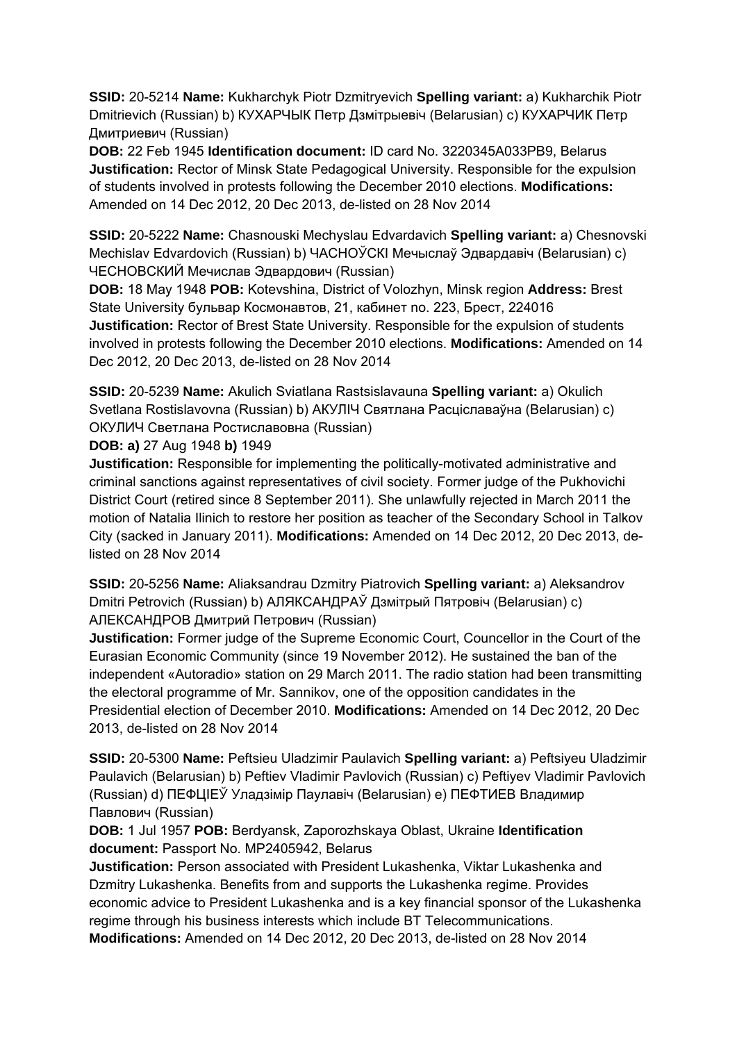**SSID:** 20-5214 **Name:** Kukharchyk Piotr Dzmitryevich **Spelling variant:** a) Kukharchik Piotr Dmitrievich (Russian) b) КУХАРЧЫК Петр Дзмітрыевіч (Belarusian) c) КУХАРЧИК Петр Дмитриевич (Russian)

**DOB:** 22 Feb 1945 **Identification document:** ID card No. 3220345A033PB9, Belarus **Justification:** Rector of Minsk State Pedagogical University. Responsible for the expulsion of students involved in protests following the December 2010 elections. **Modifications:**  Amended on 14 Dec 2012, 20 Dec 2013, de-listed on 28 Nov 2014

**SSID:** 20-5222 **Name:** Chasnouski Mechyslau Edvardavich **Spelling variant:** a) Chesnovski Mechislav Edvardovich (Russian) b) ЧАСНОЎСКI Мечыслаў Эдвардавіч (Belarusian) c) ЧЕСНОВСКИЙ Мечислав Эдвардович (Russian)

**DOB:** 18 May 1948 **POB:** Kotevshina, District of Volozhyn, Minsk region **Address:** Brest State University бульвар Космонавтов, 21, кабинет no. 223, Брест, 224016 **Justification:** Rector of Brest State University. Responsible for the expulsion of students involved in protests following the December 2010 elections. **Modifications:** Amended on 14 Dec 2012, 20 Dec 2013, de-listed on 28 Nov 2014

**SSID:** 20-5239 **Name:** Akulich Sviatlana Rastsislavauna **Spelling variant:** a) Okulich Svetlana Rostislavovna (Russian) b) АКУЛIЧ Святлана Расціславаўна (Belarusian) c) ОКУЛИЧ Светлана Ростиславовна (Russian)

**DOB: a)** 27 Aug 1948 **b)** 1949

**Justification:** Responsible for implementing the politically-motivated administrative and criminal sanctions against representatives of civil society. Former judge of the Pukhovichi District Court (retired since 8 September 2011). She unlawfully rejected in March 2011 the motion of Natalia Ilinich to restore her position as teacher of the Secondary School in Talkov City (sacked in January 2011). **Modifications:** Amended on 14 Dec 2012, 20 Dec 2013, delisted on 28 Nov 2014

**SSID:** 20-5256 **Name:** Aliaksandrau Dzmitry Piatrovich **Spelling variant:** a) Aleksandrov Dmitri Petrovich (Russian) b) АЛЯКСАНДРAЎ Дзмітрый Пятровіч (Belarusian) c) АЛЕКСАНДРОВ Дмитрий Петрович (Russian)

**Justification:** Former judge of the Supreme Economic Court, Councellor in the Court of the Eurasian Economic Community (since 19 November 2012). He sustained the ban of the independent «Autoradio» station on 29 March 2011. The radio station had been transmitting the electoral programme of Mr. Sannikov, one of the opposition candidates in the Presidential election of December 2010. **Modifications:** Amended on 14 Dec 2012, 20 Dec 2013, de-listed on 28 Nov 2014

**SSID:** 20-5300 **Name:** Peftsieu Uladzimir Paulavich **Spelling variant:** a) Peftsiyeu Uladzimir Paulavich (Belarusian) b) Peftiev Vladimir Pavlovich (Russian) c) Peftiyev Vladimir Pavlovich (Russian) d) ПЕФЦIЕЎ Уладзімір Паулавiч (Belarusian) e) ПЕФТИЕВ Владимир Павлович (Russian)

**DOB:** 1 Jul 1957 **POB:** Berdyansk, Zaporozhskaya Oblast, Ukraine **Identification document:** Passport No. MP2405942, Belarus

**Justification:** Person associated with President Lukashenka, Viktar Lukashenka and Dzmitry Lukashenka. Benefits from and supports the Lukashenka regime. Provides economic advice to President Lukashenka and is a key financial sponsor of the Lukashenka regime through his business interests which include BT Telecommunications.

**Modifications:** Amended on 14 Dec 2012, 20 Dec 2013, de-listed on 28 Nov 2014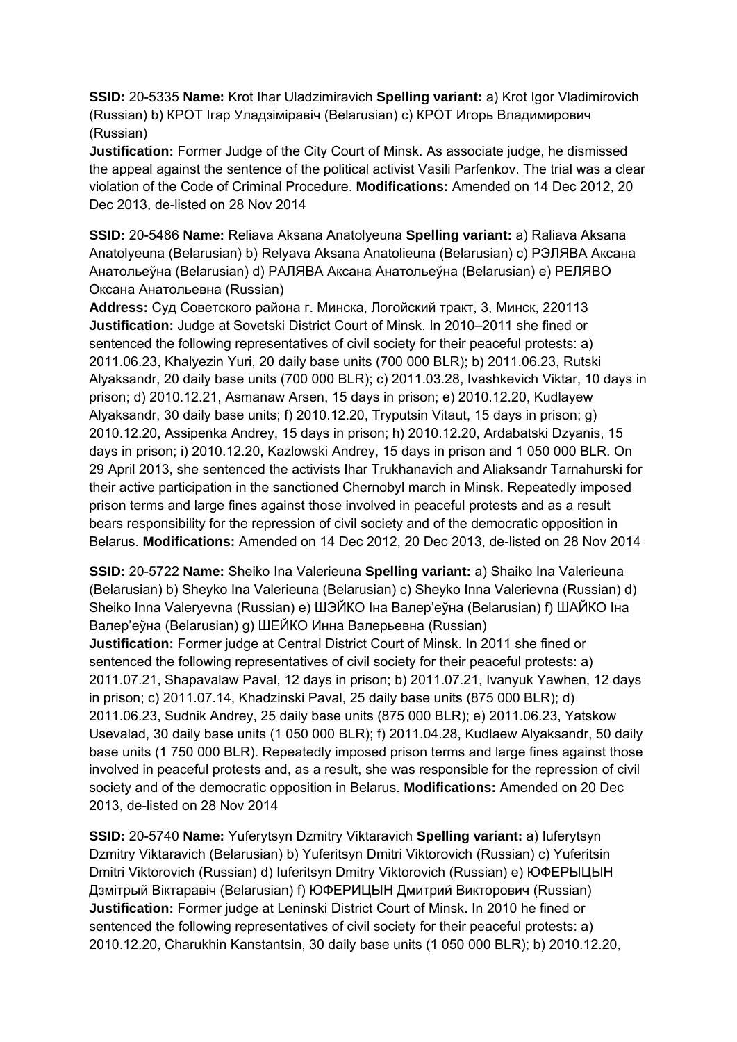**SSID:** 20-5335 **Name:** Krot Ihar Uladzimiravich **Spelling variant:** a) Krot Igor Vladimirovich (Russian) b) КРОТ Ігар Уладзіміравіч (Belarusian) c) КРОТ Игорь Владимирович (Russian)

**Justification:** Former Judge of the City Court of Minsk. As associate judge, he dismissed the appeal against the sentence of the political activist Vasili Parfenkov. The trial was a clear violation of the Code of Criminal Procedure. **Modifications:** Amended on 14 Dec 2012, 20 Dec 2013, de-listed on 28 Nov 2014

**SSID:** 20-5486 **Name:** Reliava Aksana Anatolyeuna **Spelling variant:** a) Raliava Aksana Anatolyeuna (Belarusian) b) Relyava Aksana Anatolieuna (Belarusian) c) РЭЛЯВА Аксана Анатольеўна (Belarusian) d) РAЛЯВА Аксана Анатольеўна (Belarusian) e) РЕЛЯВО Оксана Анатольевна (Russian)

**Address:** Суд Советского района г. Минска, Логойский тракт, 3, Минск, 220113 **Justification:** Judge at Sovetski District Court of Minsk. In 2010–2011 she fined or sentenced the following representatives of civil society for their peaceful protests: a) 2011.06.23, Khalyezin Yuri, 20 daily base units (700 000 BLR); b) 2011.06.23, Rutski Alyaksandr, 20 daily base units (700 000 BLR); c) 2011.03.28, Ivashkevich Viktar, 10 days in prison; d) 2010.12.21, Asmanaw Arsen, 15 days in prison; e) 2010.12.20, Kudlayew Alyaksandr, 30 daily base units; f) 2010.12.20, Tryputsin Vitaut, 15 days in prison; g) 2010.12.20, Assipenka Andrey, 15 days in prison; h) 2010.12.20, Ardabatski Dzyanis, 15 days in prison; i) 2010.12.20, Kazlowski Andrey, 15 days in prison and 1 050 000 BLR. On 29 April 2013, she sentenced the activists Ihar Trukhanavich and Aliaksandr Tarnahurski for their active participation in the sanctioned Chernobyl march in Minsk. Repeatedly imposed prison terms and large fines against those involved in peaceful protests and as a result bears responsibility for the repression of civil society and of the democratic opposition in Belarus. **Modifications:** Amended on 14 Dec 2012, 20 Dec 2013, de-listed on 28 Nov 2014

**SSID:** 20-5722 **Name:** Sheiko Ina Valerieuna **Spelling variant:** a) Shaiko Іna Valerieuna (Belarusian) b) Sheyko Іna Valerieuna (Belarusian) c) Sheyko Inna Valerievna (Russian) d) Sheiko Inna Valeryevna (Russian) e) ШЭЙКО Iна Валер'еўна (Belarusian) f) ШAЙКО Iна Валер'еўна (Belarusian) g) ШЕЙКО Инна Валерьевна (Russian) **Justification:** Former judge at Central District Court of Minsk. In 2011 she fined or sentenced the following representatives of civil society for their peaceful protests: a) 2011.07.21, Shapavalaw Paval, 12 days in prison; b) 2011.07.21, Ivanyuk Yawhen, 12 days in prison; c) 2011.07.14, Khadzinski Paval, 25 daily base units (875 000 BLR); d) 2011.06.23, Sudnik Andrey, 25 daily base units (875 000 BLR); e) 2011.06.23, Yatskow Usevalad, 30 daily base units (1 050 000 BLR); f) 2011.04.28, Kudlaew Alyaksandr, 50 daily base units (1 750 000 BLR). Repeatedly imposed prison terms and large fines against those involved in peaceful protests and, as a result, she was responsible for the repression of civil society and of the democratic opposition in Belarus. **Modifications:** Amended on 20 Dec

2013, de-listed on 28 Nov 2014

**SSID:** 20-5740 **Name:** Yuferytsyn Dzmitry Viktaravich **Spelling variant:** a) Iuferytsyn Dzmitry Viktaravich (Belarusian) b) Yuferitsyn Dmitri Viktorovich (Russian) c) Yuferitsin Dmitri Viktorovich (Russian) d) Iuferitsyn Dmitry Viktorovich (Russian) e) ЮФЕРЫЦЫН Дзмітрый Віктаравіч (Belarusian) f) ЮФЕРИЦЫН Дмитрий Викторович (Russian) **Justification:** Former judge at Leninski District Court of Minsk. In 2010 he fined or sentenced the following representatives of civil society for their peaceful protests: a) 2010.12.20, Charukhin Kanstantsin, 30 daily base units (1 050 000 BLR); b) 2010.12.20,